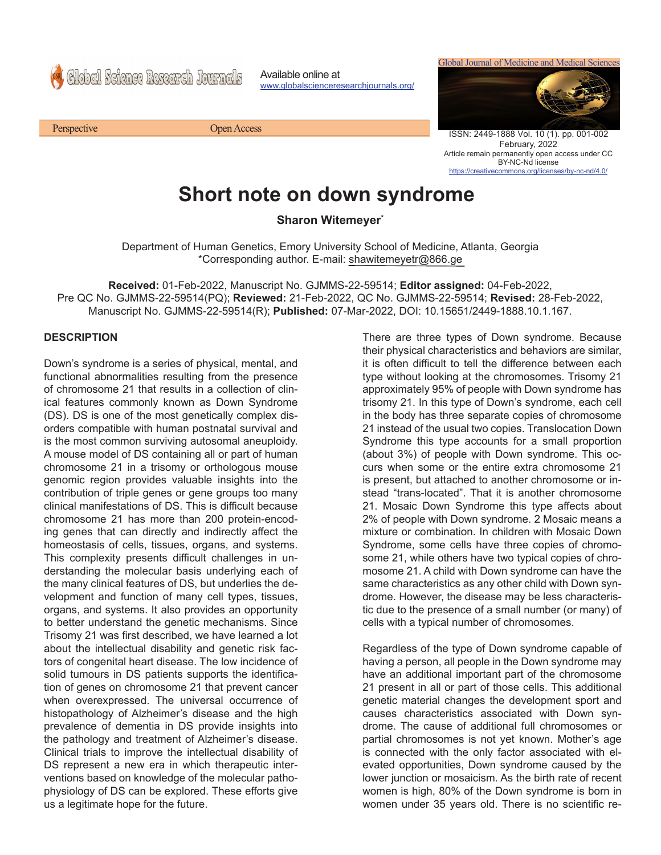Global Science Research Journals

Available online at www.globalscienceresearchjournals.org/



ISSN: 2449-1888 Vol. 10 (1). pp. 001-002 February, 2022 Article remain permanently open access under CC BY-NC-Nd license https://creativecommons.org/licenses/by-nc-nd/4.0/

## **Short note on down syndrome**

**Sharon Witemeyer\***

Department of Human Genetics, Emory University School of Medicine, Atlanta, Georgia \*Corresponding author. E-mail: shawitemeyetr@866.ge

**Received:** 01-Feb-2022, Manuscript No. GJMMS-22-59514; **Editor assigned:** 04-Feb-2022, Pre QC No. GJMMS-22-59514(PQ); **Reviewed:** 21-Feb-2022, QC No. GJMMS-22-59514; **Revised:** 28-Feb-2022, Manuscript No. GJMMS-22-59514(R); **Published:** 07-Mar-2022, DOI: 10.15651/2449-1888.10.1.167.

## **DESCRIPTION**

Down's syndrome is a series of physical, mental, and functional abnormalities resulting from the presence of chromosome 21 that results in a collection of clinical features commonly known as Down Syndrome (DS). DS is one of the most genetically complex disorders compatible with human postnatal survival and is the most common surviving autosomal aneuploidy. A mouse model of DS containing all or part of human chromosome 21 in a trisomy or orthologous mouse genomic region provides valuable insights into the contribution of triple genes or gene groups too many clinical manifestations of DS. This is difficult because chromosome 21 has more than 200 protein-encoding genes that can directly and indirectly affect the homeostasis of cells, tissues, organs, and systems. This complexity presents difficult challenges in understanding the molecular basis underlying each of the many clinical features of DS, but underlies the development and function of many cell types, tissues, organs, and systems. It also provides an opportunity to better understand the genetic mechanisms. Since Trisomy 21 was first described, we have learned a lot about the intellectual disability and genetic risk factors of congenital heart disease. The low incidence of solid tumours in DS patients supports the identification of genes on chromosome 21 that prevent cancer when overexpressed. The universal occurrence of histopathology of Alzheimer's disease and the high prevalence of dementia in DS provide insights into the pathology and treatment of Alzheimer's disease. Clinical trials to improve the intellectual disability of DS represent a new era in which therapeutic interventions based on knowledge of the molecular pathophysiology of DS can be explored. These efforts give us a legitimate hope for the future.

There are three types of Down syndrome. Because their physical characteristics and behaviors are similar, it is often difficult to tell the difference between each type without looking at the chromosomes. Trisomy 21 approximately 95% of people with Down syndrome has trisomy 21. In this type of Down's syndrome, each cell in the body has three separate copies of chromosome 21 instead of the usual two copies. Translocation Down Syndrome this type accounts for a small proportion (about 3%) of people with Down syndrome. This occurs when some or the entire extra chromosome 21 is present, but attached to another chromosome or instead "trans-located". That it is another chromosome 21. Mosaic Down Syndrome this type affects about 2% of people with Down syndrome. 2 Mosaic means a mixture or combination. In children with Mosaic Down Syndrome, some cells have three copies of chromosome 21, while others have two typical copies of chromosome 21. A child with Down syndrome can have the same characteristics as any other child with Down syndrome. However, the disease may be less characteristic due to the presence of a small number (or many) of cells with a typical number of chromosomes.

Regardless of the type of Down syndrome capable of having a person, all people in the Down syndrome may have an additional important part of the chromosome 21 present in all or part of those cells. This additional genetic material changes the development sport and causes characteristics associated with Down syndrome. The cause of additional full chromosomes or partial chromosomes is not yet known. Mother's age is connected with the only factor associated with elevated opportunities, Down syndrome caused by the lower junction or mosaicism. As the birth rate of recent women is high, 80% of the Down syndrome is born in women under 35 years old. There is no scientific re-

Perspective Open Access